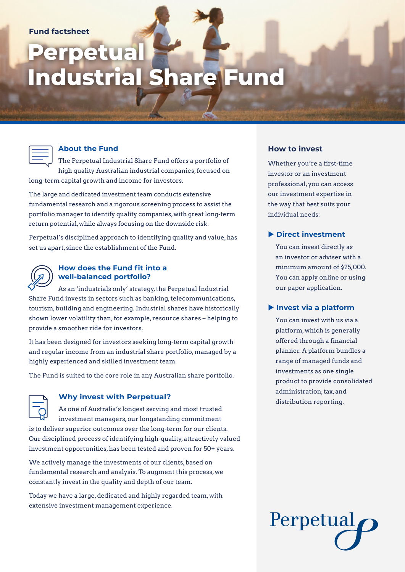#### **Fund factsheet**

# **Perpetual Industrial Share Fund**



#### **About the Fund**

The Perpetual Industrial Share Fund offers a portfolio of high quality Australian industrial companies, focused on long-term capital growth and income for investors.

The large and dedicated investment team conducts extensive fundamental research and a rigorous screening process to assist the portfolio manager to identify quality companies, with great long-term return potential, while always focusing on the downside risk.

Perpetual's disciplined approach to identifying quality and value, has set us apart, since the establishment of the Fund.



# **How does the Fund fit into a well-balanced portfolio?**

As an 'industrials only' strategy, the Perpetual Industrial Share Fund invests in sectors such as banking, telecommunications, tourism, building and engineering. Industrial shares have historically shown lower volatility than, for example, resource shares – helping to provide a smoother ride for investors.

It has been designed for investors seeking long-term capital growth and regular income from an industrial share portfolio, managed by a highly experienced and skilled investment team.

The Fund is suited to the core role in any Australian share portfolio.



# **Why invest with Perpetual?**

As one of Australia's longest serving and most trusted investment managers, our longstanding commitment is to deliver superior outcomes over the long-term for our clients. Our disciplined process of identifying high-quality, attractively valued investment opportunities, has been tested and proven for 50+ years.

We actively manage the investments of our clients, based on fundamental research and analysis. To augment this process, we constantly invest in the quality and depth of our team.

Today we have a large, dedicated and highly regarded team, with extensive investment management experience.

# **How to invest**

Whether you're a first-time investor or an investment professional, you can access our investment expertise in the way that best suits your individual needs:

# **Direct investment**

You can invest directly as an investor or adviser with a minimum amount of \$25,000. You can apply online or using our paper application.

#### **Invest via a platform**

You can invest with us via a platform, which is generally offered through a financial planner. A platform bundles a range of managed funds and investments as one single product to provide consolidated administration, tax, and distribution reporting.